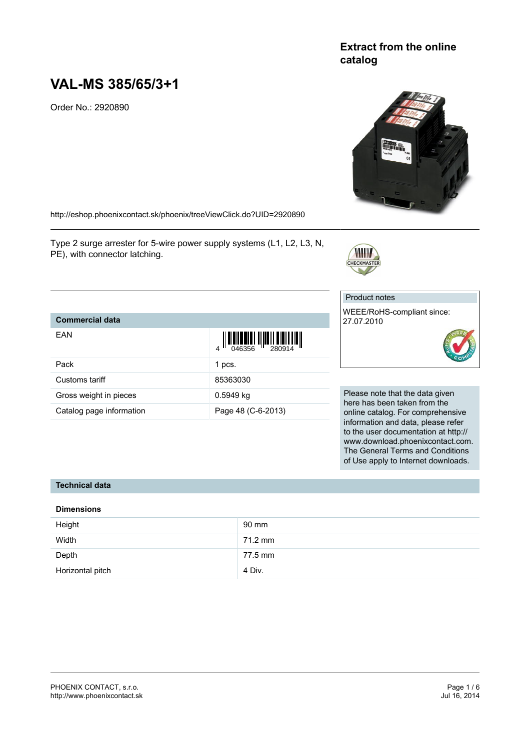## **Extract from the online catalog**



# **VAL-MS 385/65/3+1**

Order No.: 2920890

<http://eshop.phoenixcontact.sk/phoenix/treeViewClick.do?UID=2920890>

Pack 1 pcs. Customs tariff 85363030 Gross weight in pieces **6.5949** kg

Catalog page information Page 48 (C-6-2013)

Type 2 surge arrester for 5-wire power supply systems (L1, L2, L3, N, PE), with connector latching.

## Product notes

**CHECKMASTER** 

WEEE/RoHS-compliant since: 27.07.2010



Please note that the data given here has been taken from the online catalog. For comprehensive information and data, please refer to the user documentation at http:// www.download.phoenixcontact.com. The General Terms and Conditions of Use apply to Internet downloads.

## **Technical data**

**Commercial data**

EAN

#### **Dimensions**

| Height           | 90 mm             |
|------------------|-------------------|
| Width            | $71.2 \text{ mm}$ |
| Depth            | 77.5 mm           |
| Horizontal pitch | 4 Div.            |

4 046356 280914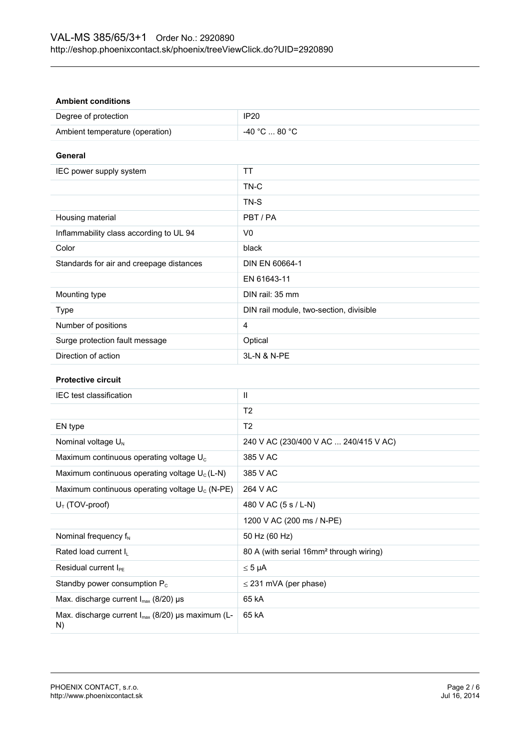#### **Ambient conditions**

| Degree of protection            | <b>IP20</b>   |
|---------------------------------|---------------|
| Ambient temperature (operation) | -40 °C  80 °C |

**General**

| IEC power supply system                  | TT                                      |
|------------------------------------------|-----------------------------------------|
|                                          | TN-C                                    |
|                                          | TN-S                                    |
| Housing material                         | PBT/PA                                  |
| Inflammability class according to UL 94  | V <sub>0</sub>                          |
| Color                                    | black                                   |
| Standards for air and creepage distances | DIN EN 60664-1                          |
|                                          | EN 61643-11                             |
| Mounting type                            | DIN rail: 35 mm                         |
| Type                                     | DIN rail module, two-section, divisible |
| Number of positions                      | 4                                       |
| Surge protection fault message           | Optical                                 |
| Direction of action                      | 3L-N & N-PE                             |

## **Protective circuit**

| IEC test classification                                             | Ш                                                   |  |
|---------------------------------------------------------------------|-----------------------------------------------------|--|
|                                                                     | T2                                                  |  |
| EN type                                                             | T <sub>2</sub>                                      |  |
| Nominal voltage $U_{N}$                                             | 240 V AC (230/400 V AC  240/415 V AC)               |  |
| Maximum continuous operating voltage U <sub>c</sub>                 | 385 V AC                                            |  |
| Maximum continuous operating voltage $U_c(L-N)$                     | 385 V AC                                            |  |
| Maximum continuous operating voltage $U_c$ (N-PE)                   | 264 V AC                                            |  |
| $U_T$ (TOV-proof)                                                   | 480 V AC (5 s / L-N)                                |  |
|                                                                     | 1200 V AC (200 ms / N-PE)                           |  |
| Nominal frequency $f_N$                                             | 50 Hz (60 Hz)                                       |  |
| Rated load current I <sub>L</sub>                                   | 80 A (with serial 16mm <sup>2</sup> through wiring) |  |
| Residual current $I_{\text{PE}}$                                    | $\leq 5$ µA                                         |  |
| Standby power consumption $P_c$                                     | $\leq$ 231 mVA (per phase)                          |  |
| Max. discharge current $I_{max}$ (8/20) µs                          | 65 kA                                               |  |
| Max. discharge current I <sub>max</sub> (8/20) µs maximum (L-<br>N) | 65 kA                                               |  |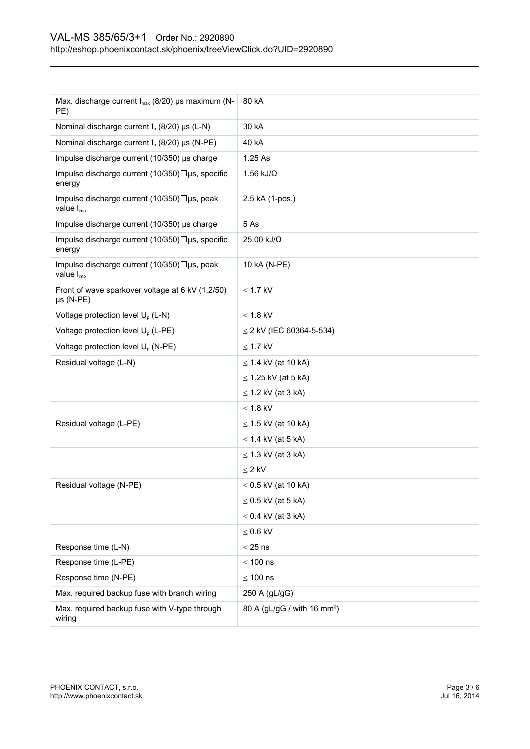| Max. discharge current I <sub>max</sub> (8/20) µs maximum (N-<br>PE)  | 80 kA                                   |
|-----------------------------------------------------------------------|-----------------------------------------|
| Nominal discharge current $I_n$ (8/20) $\mu s$ (L-N)                  | 30 kA                                   |
| Nominal discharge current $I_n$ (8/20) µs (N-PE)                      | 40 kA                                   |
| Impulse discharge current (10/350) µs charge                          | 1.25 As                                 |
| Impulse discharge current (10/350)□µs, specific<br>energy             | $1.56$ kJ/ $\Omega$                     |
| Impulse discharge current (10/350)□µs, peak<br>value I <sub>imp</sub> | 2.5 kA (1-pos.)                         |
| Impulse discharge current (10/350) µs charge                          | 5 As                                    |
| Impulse discharge current (10/350)□µs, specific<br>energy             | 25.00 kJ/Ω                              |
| Impulse discharge current (10/350)□µs, peak<br>value I <sub>imp</sub> | 10 kA (N-PE)                            |
| Front of wave sparkover voltage at 6 kV (1.2/50)<br>$\mu s$ (N-PE)    | $\leq$ 1.7 kV                           |
| Voltage protection level U <sub>p</sub> (L-N)                         | $\leq$ 1.8 kV                           |
| Voltage protection level U <sub>o</sub> (L-PE)                        | $\leq$ 2 kV (IEC 60364-5-534)           |
| Voltage protection level U <sub>p</sub> (N-PE)                        | $\leq$ 1.7 kV                           |
| Residual voltage (L-N)                                                | $\leq$ 1.4 kV (at 10 kA)                |
|                                                                       | $\leq$ 1.25 kV (at 5 kA)                |
|                                                                       | $\leq$ 1.2 kV (at 3 kA)                 |
|                                                                       | $\leq$ 1.8 kV                           |
| Residual voltage (L-PE)                                               | $\leq$ 1.5 kV (at 10 kA)                |
|                                                                       | $\leq$ 1.4 kV (at 5 kA)                 |
|                                                                       | $\leq$ 1.3 kV (at 3 kA)                 |
|                                                                       | $\leq$ 2 kV                             |
| Residual voltage (N-PE)                                               | $\leq$ 0.5 kV (at 10 kA)                |
|                                                                       | $\leq$ 0.5 kV (at 5 kA)                 |
|                                                                       | $\leq$ 0.4 kV (at 3 kA)                 |
|                                                                       | $\leq 0.6$ kV                           |
| Response time (L-N)                                                   | $\leq$ 25 ns                            |
| Response time (L-PE)                                                  | $\leq 100$ ns                           |
| Response time (N-PE)                                                  | $\leq 100$ ns                           |
| Max. required backup fuse with branch wiring                          | 250 A (gL/gG)                           |
| Max. required backup fuse with V-type through<br>wiring               | 80 A (gL/gG / with 16 mm <sup>2</sup> ) |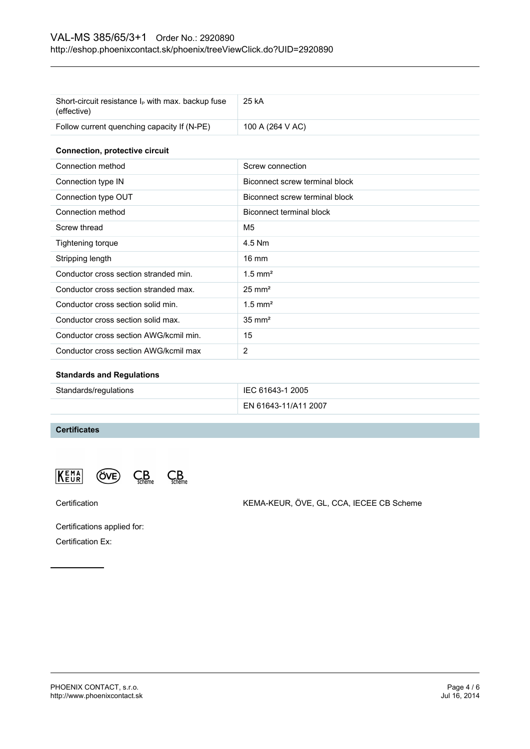## VAL-MS 385/65/3+1 Order No.: 2920890 <http://eshop.phoenixcontact.sk/phoenix/treeViewClick.do?UID=2920890>

| Short-circuit resistance $I_P$ with max. backup fuse<br>(effective) | 25 kA                          |  |
|---------------------------------------------------------------------|--------------------------------|--|
| Follow current quenching capacity If (N-PE)                         | 100 A (264 V AC)               |  |
| <b>Connection, protective circuit</b>                               |                                |  |
| Connection method                                                   | Screw connection               |  |
| Connection type IN                                                  | Biconnect screw terminal block |  |
| Connection type OUT                                                 | Biconnect screw terminal block |  |
| Connection method                                                   | Biconnect terminal block       |  |
| Screw thread                                                        | M <sub>5</sub>                 |  |
| Tightening torque                                                   | 4.5 Nm                         |  |
| Stripping length                                                    | $16 \text{ mm}$                |  |
| Conductor cross section stranded min.                               | $1.5$ mm <sup>2</sup>          |  |
| Conductor cross section stranded max.                               | $25 \text{ mm}^2$              |  |
| Conductor cross section solid min.                                  | $1.5$ mm <sup>2</sup>          |  |
| Conductor cross section solid max.                                  | $35 \text{ mm}^2$              |  |
| Conductor cross section AWG/kcmil min.                              | 15                             |  |
| Conductor cross section AWG/kcmil max                               | $\overline{2}$                 |  |

## **Standards and Regulations**

| Standards/regulations | IEC 61643-1 2005     |
|-----------------------|----------------------|
|                       | EN 61643-11/A11 2007 |

## **Certificates**

KEMA  $C<sub>scheme</sub>$  $C_{\text{scheme}}^B$ (ÖVE)

Certification KEMA-KEUR, ÖVE, GL, CCA, IECEE CB Scheme

Certifications applied for: Certification Ex: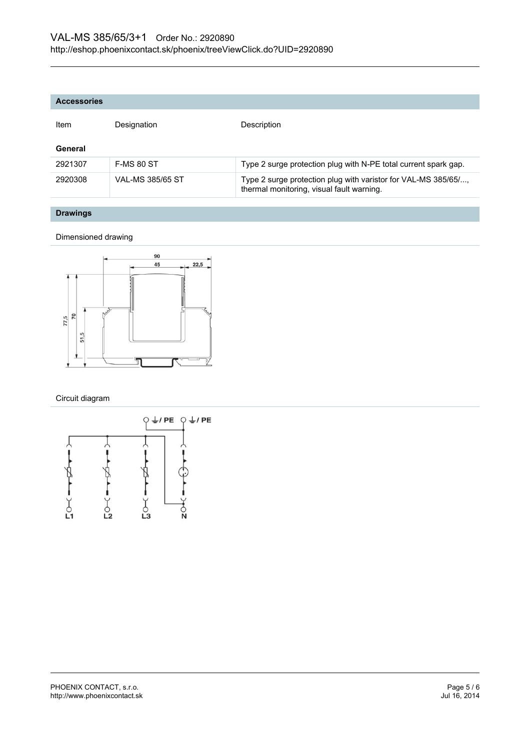| <b>Item</b> | Designation       | Description                                                                                                 |
|-------------|-------------------|-------------------------------------------------------------------------------------------------------------|
| General     |                   |                                                                                                             |
| 2921307     | <b>F-MS 80 ST</b> | Type 2 surge protection plug with N-PE total current spark gap.                                             |
| 2920308     | VAL-MS 385/65 ST  | Type 2 surge protection plug with varistor for VAL-MS 385/65/,<br>thermal monitoring, visual fault warning. |

## **Drawings**

#### Dimensioned drawing



Circuit diagram